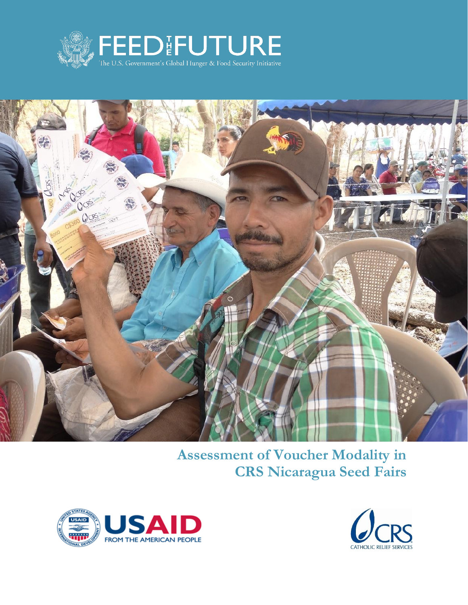



**Assessment of Voucher Modality in CRS Nicaragua Seed Fairs**



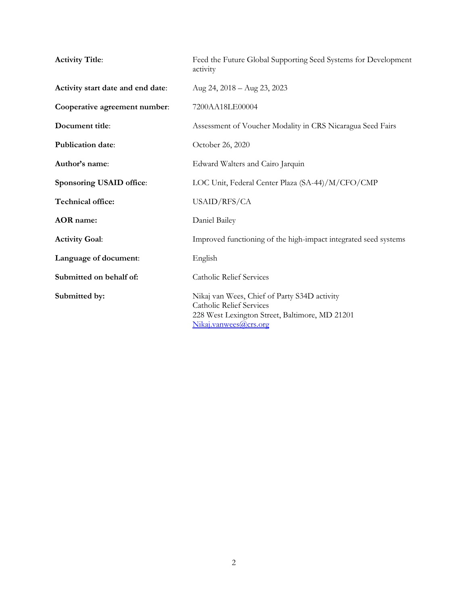| <b>Activity Title:</b>            | Feed the Future Global Supporting Seed Systems for Development<br>activity                                                                                 |
|-----------------------------------|------------------------------------------------------------------------------------------------------------------------------------------------------------|
| Activity start date and end date: | Aug 24, 2018 - Aug 23, 2023                                                                                                                                |
| Cooperative agreement number:     | 7200AA18LE00004                                                                                                                                            |
| Document title:                   | Assessment of Voucher Modality in CRS Nicaragua Seed Fairs                                                                                                 |
| Publication date:                 | October 26, 2020                                                                                                                                           |
| Author's name:                    | Edward Walters and Cairo Jarquin                                                                                                                           |
| Sponsoring USAID office:          | LOC Unit, Federal Center Plaza (SA-44)/M/CFO/CMP                                                                                                           |
| Technical office:                 | USAID/RFS/CA                                                                                                                                               |
| <b>AOR</b> name:                  | Daniel Bailey                                                                                                                                              |
| <b>Activity Goal:</b>             | Improved functioning of the high-impact integrated seed systems                                                                                            |
| Language of document:             | English                                                                                                                                                    |
| Submitted on behalf of:           | <b>Catholic Relief Services</b>                                                                                                                            |
| Submitted by:                     | Nikaj van Wees, Chief of Party S34D activity<br><b>Catholic Relief Services</b><br>228 West Lexington Street, Baltimore, MD 21201<br>Nikaj.vanwees@crs.org |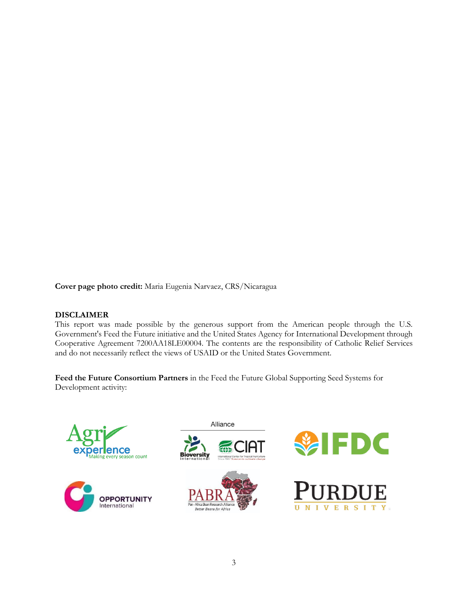**Cover page photo credit:** Maria Eugenia Narvaez, CRS/Nicaragua

### **DISCLAIMER**

This report was made possible by the generous support from the American people through the U.S. Government's Feed the Future initiative and the United States Agency for International Development through Cooperative Agreement 7200AA18LE00004. The contents are the responsibility of Catholic Relief Services and do not necessarily reflect the views of USAID or the United States Government.

**Feed the Future Consortium Partners** in the Feed the Future Global Supporting Seed Systems for Development activity:

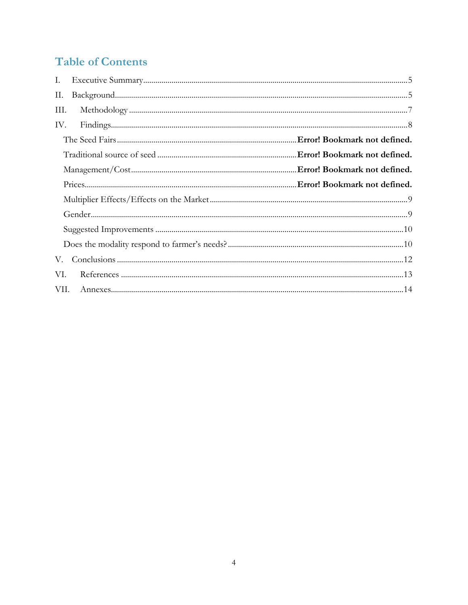# **Table of Contents**

| I.                                                                                                                                                                                                                                                                                                                                                                                                |  |
|---------------------------------------------------------------------------------------------------------------------------------------------------------------------------------------------------------------------------------------------------------------------------------------------------------------------------------------------------------------------------------------------------|--|
| П.                                                                                                                                                                                                                                                                                                                                                                                                |  |
| Ш.                                                                                                                                                                                                                                                                                                                                                                                                |  |
| $Findings. \label{prop:main} \begin{minipage}[t]{0.9\linewidth} \vspace{0.05in} \vspace{0.05in} \vspace{0.05in} \vspace{0.05in} \vspace{0.05in} \vspace{0.05in} \vspace{0.05in} \vspace{0.05in} \vspace{0.05in} \vspace{0.05in} \vspace{0.05in} \vspace{0.05in} \vspace{0.05in} \vspace{0.05in} \vspace{0.05in} \vspace{0.05in} \vspace{0.05in} \vspace{0.05in} \vspace{0.05in} \vspace{0$<br>IV. |  |
|                                                                                                                                                                                                                                                                                                                                                                                                   |  |
|                                                                                                                                                                                                                                                                                                                                                                                                   |  |
|                                                                                                                                                                                                                                                                                                                                                                                                   |  |
|                                                                                                                                                                                                                                                                                                                                                                                                   |  |
|                                                                                                                                                                                                                                                                                                                                                                                                   |  |
|                                                                                                                                                                                                                                                                                                                                                                                                   |  |
|                                                                                                                                                                                                                                                                                                                                                                                                   |  |
|                                                                                                                                                                                                                                                                                                                                                                                                   |  |
| V.                                                                                                                                                                                                                                                                                                                                                                                                |  |
| VI.                                                                                                                                                                                                                                                                                                                                                                                               |  |
| VII.                                                                                                                                                                                                                                                                                                                                                                                              |  |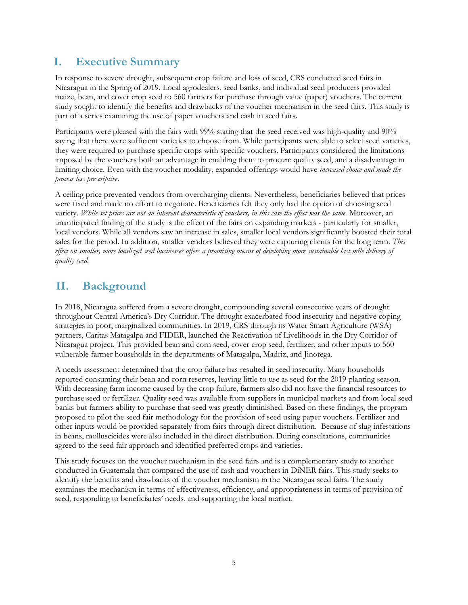## <span id="page-4-0"></span>**I. Executive Summary**

In response to severe drought, subsequent crop failure and loss of seed, CRS conducted seed fairs in Nicaragua in the Spring of 2019. Local agrodealers, seed banks, and individual seed producers provided maize, bean, and cover crop seed to 560 farmers for purchase through value (paper) vouchers. The current study sought to identify the benefits and drawbacks of the voucher mechanism in the seed fairs. This study is part of a series examining the use of paper vouchers and cash in seed fairs.

Participants were pleased with the fairs with 99% stating that the seed received was high-quality and 90% saying that there were sufficient varieties to choose from. While participants were able to select seed varieties, they were required to purchase specific crops with specific vouchers. Participants considered the limitations imposed by the vouchers both an advantage in enabling them to procure quality seed, and a disadvantage in limiting choice. Even with the voucher modality, expanded offerings would have *increased choice and made the process less prescriptive*.

A ceiling price prevented vendors from overcharging clients. Nevertheless, beneficiaries believed that prices were fixed and made no effort to negotiate. Beneficiaries felt they only had the option of choosing seed variety. *While set prices are not an inherent characteristic of vouchers, in this case the effect was the same.* Moreover, an unanticipated finding of the study is the effect of the fairs on expanding markets - particularly for smaller, local vendors. While all vendors saw an increase in sales, smaller local vendors significantly boosted their total sales for the period. In addition, smaller vendors believed they were capturing clients for the long term. *This effect on smaller, more localized seed businesses offers a promising means of developing more sustainable last mile delivery of quality seed.*

## <span id="page-4-1"></span>**II. Background**

In 2018, Nicaragua suffered from a severe drought, compounding several consecutive years of drought throughout Central America's Dry Corridor. The drought exacerbated food insecurity and negative coping strategies in poor, marginalized communities. In 2019, CRS through its Water Smart Agriculture (WSA) partners, Caritas Matagalpa and FIDER, launched the Reactivation of Livelihoods in the Dry Corridor of Nicaragua project. This provided bean and corn seed, cover crop seed, fertilizer, and other inputs to 560 vulnerable farmer households in the departments of Matagalpa, Madriz, and Jinotega.

A needs assessment determined that the crop failure has resulted in seed insecurity. Many households reported consuming their bean and corn reserves, leaving little to use as seed for the 2019 planting season. With decreasing farm income caused by the crop failure, farmers also did not have the financial resources to purchase seed or fertilizer. Quality seed was available from suppliers in municipal markets and from local seed banks but farmers ability to purchase that seed was greatly diminished. Based on these findings, the program proposed to pilot the seed fair methodology for the provision of seed using paper vouchers. Fertilizer and other inputs would be provided separately from fairs through direct distribution. Because of slug infestations in beans, molluscicides were also included in the direct distribution. During consultations, communities agreed to the seed fair approach and identified preferred crops and varieties.

This study focuses on the voucher mechanism in the seed fairs and is a complementary study to another conducted in Guatemala that compared the use of cash and vouchers in DiNER fairs. This study seeks to identify the benefits and drawbacks of the voucher mechanism in the Nicaragua seed fairs. The study examines the mechanism in terms of effectiveness, efficiency, and appropriateness in terms of provision of seed, responding to beneficiaries' needs, and supporting the local market.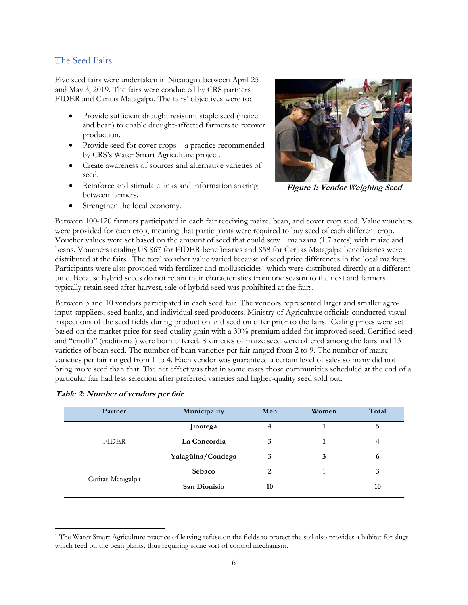### The Seed Fairs

Five seed fairs were undertaken in Nicaragua between April 25 and May 3, 2019. The fairs were conducted by CRS partners FIDER and Caritas Matagalpa. The fairs' objectives were to:

- Provide sufficient drought resistant staple seed (maize and bean) to enable drought-affected farmers to recover production.
- Provide seed for cover crops a practice recommended by CRS's Water Smart Agriculture project.
- Create awareness of sources and alternative varieties of seed.
- Reinforce and stimulate links and information sharing between farmers.
- Strengthen the local economy.



**Figure 1: Vendor Weighing Seed**

Between 100-120 farmers participated in each fair receiving maize, bean, and cover crop seed. Value vouchers were provided for each crop, meaning that participants were required to buy seed of each different crop. Voucher values were set based on the amount of seed that could sow 1 manzana (1.7 acres) with maize and beans. Vouchers totaling US \$67 for FIDER beneficiaries and \$58 for Caritas Matagalpa beneficiaries were distributed at the fairs. The total voucher value varied because of seed price differences in the local markets. Participants were also provided with fertilizer and molluscicides<sup>1</sup> which were distributed directly at a different time. Because hybrid seeds do not retain their characteristics from one season to the next and farmers typically retain seed after harvest, sale of hybrid seed was prohibited at the fairs.

Between 3 and 10 vendors participated in each seed fair. The vendors represented larger and smaller agroinput suppliers, seed banks, and individual seed producers. Ministry of Agriculture officials conducted visual inspections of the seed fields during production and seed on offer prior to the fairs. Ceiling prices were set based on the market price for seed quality grain with a 30% premium added for improved seed. Certified seed and "criollo" (traditional) were both offered. 8 varieties of maize seed were offered among the fairs and 13 varieties of bean seed. The number of bean varieties per fair ranged from 2 to 9. The number of maize varieties per fair ranged from 1 to 4. Each vendor was guaranteed a certain level of sales so many did not bring more seed than that. The net effect was that in some cases those communities scheduled at the end of a particular fair had less selection after preferred varieties and higher-quality seed sold out.

| Partner           | Municipality      | Men | Women | Total |
|-------------------|-------------------|-----|-------|-------|
|                   | Jinotega          |     |       | 5     |
| <b>FIDER</b>      | La Concordia      | 3   |       |       |
|                   | Yalagüina/Condega |     |       | o     |
| Caritas Matagalpa | Sebaco            | 2   |       | 3     |
|                   | San Dionisio      | 10  |       | 10    |

| Table 2: Number of vendors per fair |  |  |  |
|-------------------------------------|--|--|--|
|-------------------------------------|--|--|--|

<sup>&</sup>lt;sup>1</sup> The Water Smart Agriculture practice of leaving refuse on the fields to protect the soil also provides a habitat for slugs which feed on the bean plants, thus requiring some sort of control mechanism.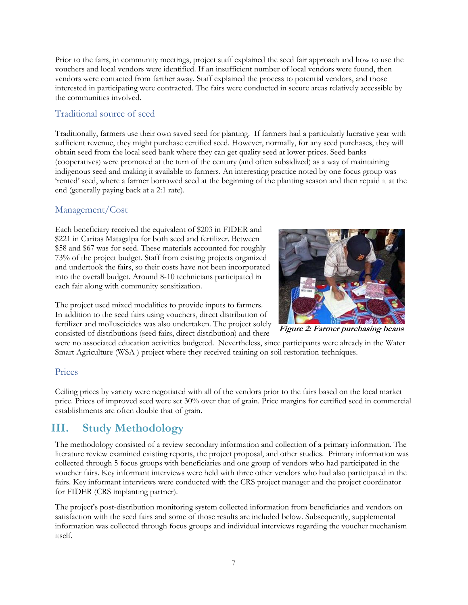Prior to the fairs, in community meetings, project staff explained the seed fair approach and how to use the vouchers and local vendors were identified. If an insufficient number of local vendors were found, then vendors were contacted from farther away. Staff explained the process to potential vendors, and those interested in participating were contracted. The fairs were conducted in secure areas relatively accessible by the communities involved.

## Traditional source of seed

Traditionally, farmers use their own saved seed for planting. If farmers had a particularly lucrative year with sufficient revenue, they might purchase certified seed. However, normally, for any seed purchases, they will obtain seed from the local seed bank where they can get quality seed at lower prices. Seed banks (cooperatives) were promoted at the turn of the century (and often subsidized) as a way of maintaining indigenous seed and making it available to farmers. An interesting practice noted by one focus group was 'rented' seed, where a farmer borrowed seed at the beginning of the planting season and then repaid it at the end (generally paying back at a 2:1 rate).

## Management/Cost

Each beneficiary received the equivalent of \$203 in FIDER and \$221 in Caritas Matagalpa for both seed and fertilizer. Between \$58 and \$67 was for seed. These materials accounted for roughly 73% of the project budget. Staff from existing projects organized and undertook the fairs, so their costs have not been incorporated into the overall budget. Around 8-10 technicians participated in each fair along with community sensitization.

**Figure 2: Farmer purchasing beans**

The project used mixed modalities to provide inputs to farmers. In addition to the seed fairs using vouchers, direct distribution of fertilizer and molluscicides was also undertaken. The project solely consisted of distributions (seed fairs, direct distribution) and there

were no associated education activities budgeted. Nevertheless, since participants were already in the Water Smart Agriculture (WSA ) project where they received training on soil restoration techniques.

### Prices

Ceiling prices by variety were negotiated with all of the vendors prior to the fairs based on the local market price. Prices of improved seed were set 30% over that of grain. Price margins for certified seed in commercial establishments are often double that of grain.

## <span id="page-6-0"></span>**III. Study Methodology**

The methodology consisted of a review secondary information and collection of a primary information. The literature review examined existing reports, the project proposal, and other studies. Primary information was collected through 5 focus groups with beneficiaries and one group of vendors who had participated in the voucher fairs. Key informant interviews were held with three other vendors who had also participated in the fairs. Key informant interviews were conducted with the CRS project manager and the project coordinator for FIDER (CRS implanting partner).

The project's post-distribution monitoring system collected information from beneficiaries and vendors on satisfaction with the seed fairs and some of those results are included below. Subsequently, supplemental information was collected through focus groups and individual interviews regarding the voucher mechanism itself.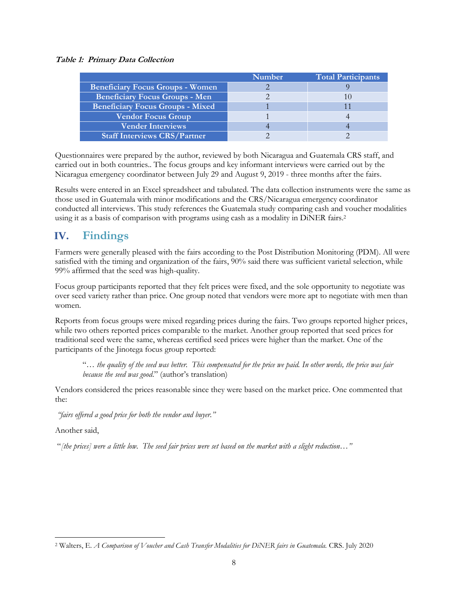### **Table 1: Primary Data Collection**

|                                         | <b>Number</b> | <b>Total Participants</b> |
|-----------------------------------------|---------------|---------------------------|
| <b>Beneficiary Focus Groups - Women</b> |               |                           |
| <b>Beneficiary Focus Groups - Men</b>   |               |                           |
| <b>Beneficiary Focus Groups - Mixed</b> |               |                           |
| <b>Vendor Focus Group</b>               |               |                           |
| <b>Vender Interviews</b>                |               |                           |
| <b>Staff Interviews CRS/Partner</b>     |               |                           |

Questionnaires were prepared by the author, reviewed by both Nicaragua and Guatemala CRS staff, and carried out in both countries.. The focus groups and key informant interviews were carried out by the Nicaragua emergency coordinator between July 29 and August 9, 2019 - three months after the fairs.

Results were entered in an Excel spreadsheet and tabulated. The data collection instruments were the same as those used in Guatemala with minor modifications and the CRS/Nicaragua emergency coordinator conducted all interviews. This study references the Guatemala study comparing cash and voucher modalities using it as a basis of comparison with programs using cash as a modality in DiNER fairs.<sup>2</sup>

## <span id="page-7-0"></span>**IV. Findings**

Farmers were generally pleased with the fairs according to the Post Distribution Monitoring (PDM). All were satisfied with the timing and organization of the fairs, 90% said there was sufficient varietal selection, while 99% affirmed that the seed was high-quality.

Focus group participants reported that they felt prices were fixed, and the sole opportunity to negotiate was over seed variety rather than price. One group noted that vendors were more apt to negotiate with men than women.

Reports from focus groups were mixed regarding prices during the fairs. Two groups reported higher prices, while two others reported prices comparable to the market. Another group reported that seed prices for traditional seed were the same, whereas certified seed prices were higher than the market. One of the participants of the Jinotega focus group reported:

"… *the quality of the seed was better. This compensated for the price we paid. In other words, the price was fair because the seed was good*." (author's translation)

Vendors considered the prices reasonable since they were based on the market price. One commented that the:

*"fairs offered a good price for both the vendor and buyer."* 

Another said,

"*[the prices] were a little low. The seed fair prices were set based on the market with a slight reduction…"*

<sup>2</sup> Walters, E. *A Comparison of Voucher and Cash Transfer Modalities for DiNER fairs in Guatemala.* CRS. July 2020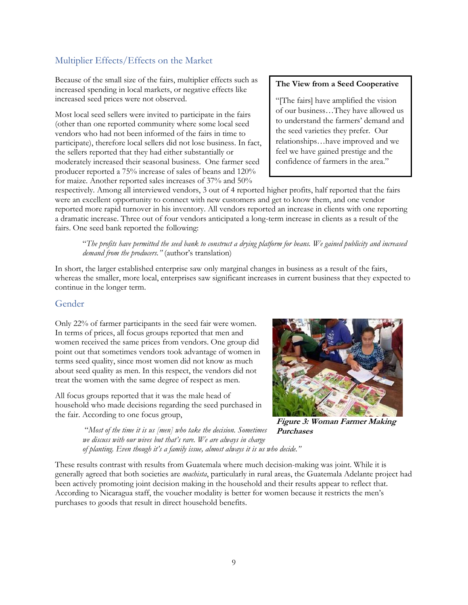## <span id="page-8-0"></span>Multiplier Effects/Effects on the Market

Because of the small size of the fairs, multiplier effects such as increased spending in local markets, or negative effects like increased seed prices were not observed.

Most local seed sellers were invited to participate in the fairs (other than one reported community where some local seed vendors who had not been informed of the fairs in time to participate), therefore local sellers did not lose business. In fact, the sellers reported that they had either substantially or moderately increased their seasonal business. One farmer seed producer reported a 75% increase of sales of beans and 120% for maize. Another reported sales increases of 37% and 50%

### **The View from a Seed Cooperative**

"[The fairs] have amplified the vision of our business…They have allowed us to understand the farmers' demand and the seed varieties they prefer. Our relationships…have improved and we feel we have gained prestige and the confidence of farmers in the area."

respectively. Among all interviewed vendors, 3 out of 4 reported higher profits, half reported that the fairs were an excellent opportunity to connect with new customers and get to know them, and one vendor reported more rapid turnover in his inventory. All vendors reported an increase in clients with one reporting a dramatic increase. Three out of four vendors anticipated a long-term increase in clients as a result of the fairs. One seed bank reported the following:

"*The profits have permitted the seed bank to construct a drying platform for beans. We gained publicity and increased demand from the producers."* (author's translation)

In short, the larger established enterprise saw only marginal changes in business as a result of the fairs, whereas the smaller, more local, enterprises saw significant increases in current business that they expected to continue in the longer term.

### <span id="page-8-1"></span>Gender

Only 22% of farmer participants in the seed fair were women. In terms of prices, all focus groups reported that men and women received the same prices from vendors. One group did point out that sometimes vendors took advantage of women in terms seed quality, since most women did not know as much about seed quality as men. In this respect, the vendors did not treat the women with the same degree of respect as men.

All focus groups reported that it was the male head of household who made decisions regarding the seed purchased in the fair. According to one focus group,



**Figure 3: Woman Farmer Making Purchases**

"*Most of the time it is us [men] who take the decision. Sometimes we discuss with our wives but that's rare. We are always in charge of planting. Even though it's a family issue, almost always it is us who decide."* 

These results contrast with results from Guatemala where much decision-making was joint. While it is generally agreed that both societies are *machista*, particularly in rural areas, the Guatemala Adelante project had been actively promoting joint decision making in the household and their results appear to reflect that. According to Nicaragua staff, the voucher modality is better for women because it restricts the men's purchases to goods that result in direct household benefits.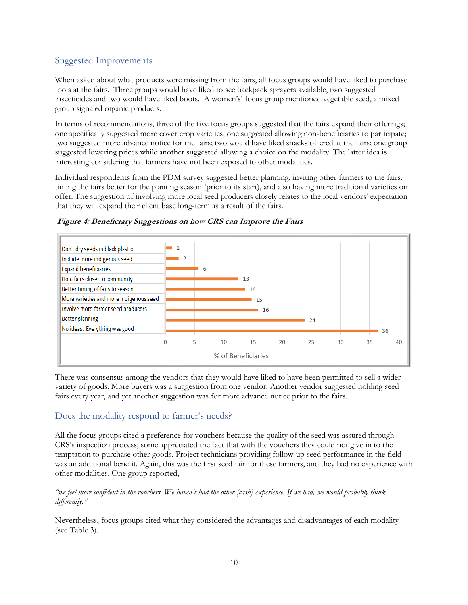## <span id="page-9-0"></span>Suggested Improvements

When asked about what products were missing from the fairs, all focus groups would have liked to purchase tools at the fairs. Three groups would have liked to see backpack sprayers available, two suggested insecticides and two would have liked boots. A women's' focus group mentioned vegetable seed, a mixed group signaled organic products.

In terms of recommendations, three of the five focus groups suggested that the fairs expand their offerings; one specifically suggested more cover crop varieties; one suggested allowing non-beneficiaries to participate; two suggested more advance notice for the fairs; two would have liked snacks offered at the fairs; one group suggested lowering prices while another suggested allowing a choice on the modality. The latter idea is interesting considering that farmers have not been exposed to other modalities.

Individual respondents from the PDM survey suggested better planning, inviting other farmers to the fairs, timing the fairs better for the planting season (prior to its start), and also having more traditional varieties on offer. The suggestion of involving more local seed producers closely relates to the local vendors' expectation that they will expand their client base long-term as a result of the fairs.



**Figure 4: Beneficiary Suggestions on how CRS can Improve the Fairs**

There was consensus among the vendors that they would have liked to have been permitted to sell a wider variety of goods. More buyers was a suggestion from one vendor. Another vendor suggested holding seed fairs every year, and yet another suggestion was for more advance notice prior to the fairs.

### <span id="page-9-1"></span>Does the modality respond to farmer's needs?

All the focus groups cited a preference for vouchers because the quality of the seed was assured through CRS's inspection process; some appreciated the fact that with the vouchers they could not give in to the temptation to purchase other goods. Project technicians providing follow-up seed performance in the field was an additional benefit. Again, this was the first seed fair for these farmers, and they had no experience with other modalities. One group reported,

### *"we feel more confident in the vouchers. We haven't had the other [cash] experience. If we had, we would probably think differently."*

Nevertheless, focus groups cited what they considered the advantages and disadvantages of each modality (see Table 3).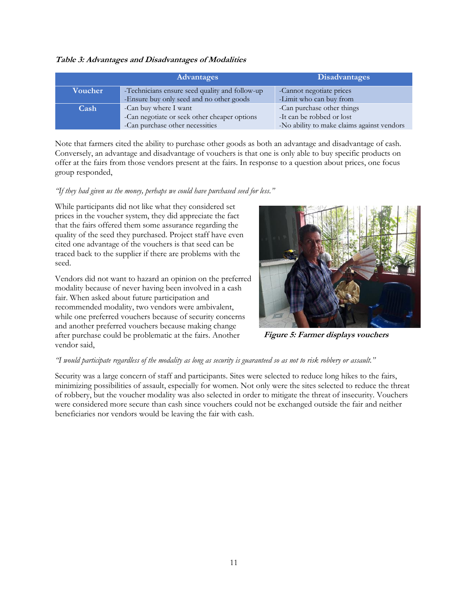#### **Table 3: Advantages and Disadvantages of Modalities**

|         | Advantages                                     | <b>Disadvantages</b>                       |
|---------|------------------------------------------------|--------------------------------------------|
| Voucher | -Technicians ensure seed quality and follow-up | -Cannot negotiate prices                   |
|         | -Ensure buy only seed and no other goods       | -Limit who can buy from                    |
| Cash    | -Can buy where I want                          | -Can purchase other things                 |
|         | -Can negotiate or seek other cheaper options   | -It can be robbed or lost                  |
|         | -Can purchase other necessities                | -No ability to make claims against vendors |

Note that farmers cited the ability to purchase other goods as both an advantage and disadvantage of cash. Conversely, an advantage and disadvantage of vouchers is that one is only able to buy specific products on offer at the fairs from those vendors present at the fairs. In response to a question about prices, one focus group responded,

### *"If they had given us the money, perhaps we could have purchased seed for less."*

While participants did not like what they considered set prices in the voucher system, they did appreciate the fact that the fairs offered them some assurance regarding the quality of the seed they purchased. Project staff have even cited one advantage of the vouchers is that seed can be traced back to the supplier if there are problems with the seed.

Vendors did not want to hazard an opinion on the preferred modality because of never having been involved in a cash fair. When asked about future participation and recommended modality, two vendors were ambivalent, while one preferred vouchers because of security concerns and another preferred vouchers because making change after purchase could be problematic at the fairs. Another vendor said,



**Figure 5: Farmer displays vouchers**

#### *"I would participate regardless of the modality as long as security is guaranteed so as not to risk robbery or assault."*

Security was a large concern of staff and participants. Sites were selected to reduce long hikes to the fairs, minimizing possibilities of assault, especially for women. Not only were the sites selected to reduce the threat of robbery, but the voucher modality was also selected in order to mitigate the threat of insecurity. Vouchers were considered more secure than cash since vouchers could not be exchanged outside the fair and neither beneficiaries nor vendors would be leaving the fair with cash.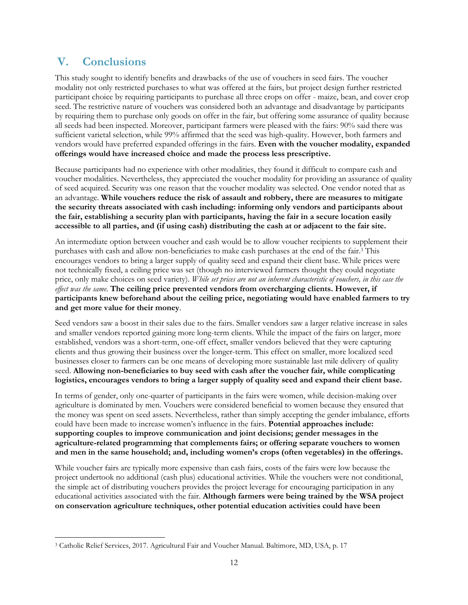## <span id="page-11-0"></span>**V. Conclusions**

This study sought to identify benefits and drawbacks of the use of vouchers in seed fairs. The voucher modality not only restricted purchases to what was offered at the fairs, but project design further restricted participant choice by requiring participants to purchase all three crops on offer - maize, bean, and cover crop seed. The restrictive nature of vouchers was considered both an advantage and disadvantage by participants by requiring them to purchase only goods on offer in the fair, but offering some assurance of quality because all seeds had been inspected. Moreover, participant farmers were pleased with the fairs: 90% said there was sufficient varietal selection, while 99% affirmed that the seed was high-quality. However, both farmers and vendors would have preferred expanded offerings in the fairs. **Even with the voucher modality, expanded offerings would have increased choice and made the process less prescriptive.**

Because participants had no experience with other modalities, they found it difficult to compare cash and voucher modalities. Nevertheless, they appreciated the voucher modality for providing an assurance of quality of seed acquired. Security was one reason that the voucher modality was selected. One vendor noted that as an advantage. **While vouchers reduce the risk of assault and robbery, there are measures to mitigate the security threats associated with cash including: informing only vendors and participants about the fair, establishing a security plan with participants, having the fair in a secure location easily accessible to all parties, and (if using cash) distributing the cash at or adjacent to the fair site.**

An intermediate option between voucher and cash would be to allow voucher recipients to supplement their purchases with cash and allow non-beneficiaries to make cash purchases at the end of the fair. <sup>3</sup> This encourages vendors to bring a larger supply of quality seed and expand their client base. While prices were not technically fixed, a ceiling price was set (though no interviewed farmers thought they could negotiate price, only make choices on seed variety). *While set prices are not an inherent characteristic of vouchers, in this case the effect was the same*. **The ceiling price prevented vendors from overcharging clients. However, if participants knew beforehand about the ceiling price, negotiating would have enabled farmers to try and get more value for their money**.

Seed vendors saw a boost in their sales due to the fairs. Smaller vendors saw a larger relative increase in sales and smaller vendors reported gaining more long-term clients. While the impact of the fairs on larger, more established, vendors was a short-term, one-off effect, smaller vendors believed that they were capturing clients and thus growing their business over the longer-term. This effect on smaller, more localized seed businesses closer to farmers can be one means of developing more sustainable last mile delivery of quality seed. **Allowing non-beneficiaries to buy seed with cash after the voucher fair, while complicating logistics, encourages vendors to bring a larger supply of quality seed and expand their client base.** 

In terms of gender, only one-quarter of participants in the fairs were women, while decision-making over agriculture is dominated by men. Vouchers were considered beneficial to women because they ensured that the money was spent on seed assets. Nevertheless, rather than simply accepting the gender imbalance, efforts could have been made to increase women's influence in the fairs. **Potential approaches include: supporting couples to improve communication and joint decisions; gender messages in the agriculture-related programming that complements fairs; or offering separate vouchers to women and men in the same household; and, including women's crops (often vegetables) in the offerings.**

While voucher fairs are typically more expensive than cash fairs, costs of the fairs were low because the project undertook no additional (cash plus) educational activities. While the vouchers were not conditional, the simple act of distributing vouchers provides the project leverage for encouraging participation in any educational activities associated with the fair. **Although farmers were being trained by the WSA project on conservation agriculture techniques, other potential education activities could have been** 

<sup>3</sup> Catholic Relief Services, 2017. Agricultural Fair and Voucher Manual. Baltimore, MD, USA, p. 17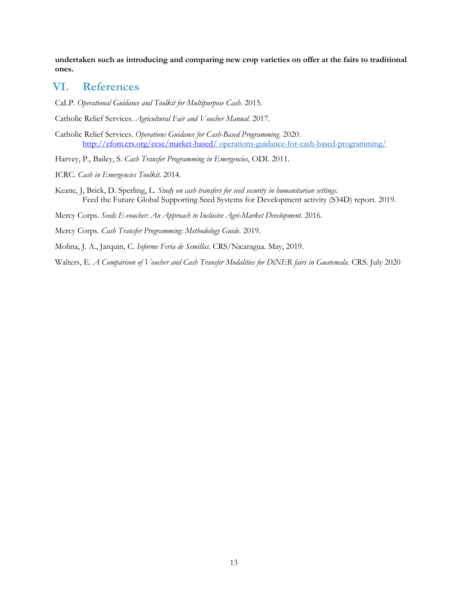**undertaken such as introducing and comparing new crop varieties on offer at the fairs to traditional ones.**

## <span id="page-12-0"></span>**VI. References**

CaLP. *Operational Guidance and Toolkit for Multipurpose Cash*. 2015.

Catholic Relief Services. *Agricultural Fair and Voucher Manual*. 2017.

- Catholic Relief Services. *Operations Guidance for Cash-Based Programming.* 2020. <http://efom.crs.org/ecsc/market-based/> [operations-guidance-for-cash-based-programming/](http://efom.crs.org/ecsc/market-based/operations-guidance-for-cash-based-programming/)
- Harvey, P., Bailey, S. *Cash Transfer Programming in Emergencies*, ODI. 2011.
- ICRC. *Cash in Emergencies Toolkit*. 2014.
- Keane, J, Brick, D. Sperling, L. *Study on cash transfers for seed security in humanitarian settings*. Feed the Future Global Supporting Seed Systems for Development activity (S34D) report. 2019.

Mercy Corps. *Seeds E-voucher: An Approach to Inclusive Agri-Market Development.* 2016.

Mercy Corps. *Cash Transfer Programming: Methodology Guide.* 2019.

Molina, J. A., Jarquin, C. *Informe Feria de Semillas.* CRS/Nicaragua. May, 2019.

Walters, E*. A Comparison of Voucher and Cash Transfer Modalities for DiNER fairs in Guatemala.* CRS. July 2020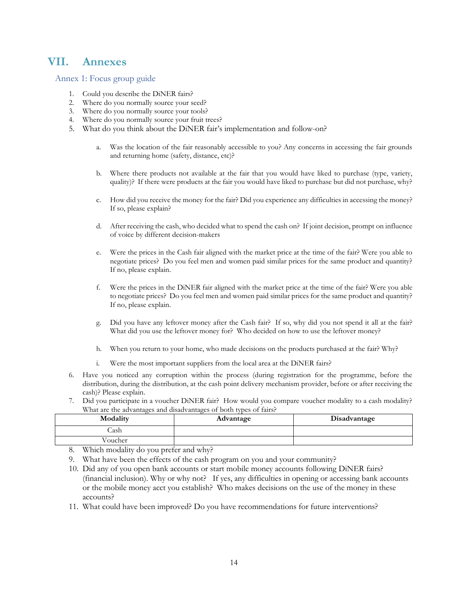## <span id="page-13-0"></span>**VII. Annexes**

Annex 1: Focus group guide

- 1. Could you describe the DiNER fairs?
- 2. Where do you normally source your seed?
- 3. Where do you normally source your tools?
- 4. Where do you normally source your fruit trees?
- 5. What do you think about the DiNER fair's implementation and follow-on?
	- a. Was the location of the fair reasonably accessible to you? Any concerns in accessing the fair grounds and returning home (safety, distance, etc)?
	- b. Where there products not available at the fair that you would have liked to purchase (type, variety, quality)? If there were products at the fair you would have liked to purchase but did not purchase, why?
	- c. How did you receive the money for the fair? Did you experience any difficulties in accessing the money? If so, please explain?
	- d. After receiving the cash, who decided what to spend the cash on? If joint decision, prompt on influence of voice by different decision-makers
	- e. Were the prices in the Cash fair aligned with the market price at the time of the fair? Were you able to negotiate prices? Do you feel men and women paid similar prices for the same product and quantity? If no, please explain.
	- f. Were the prices in the DiNER fair aligned with the market price at the time of the fair? Were you able to negotiate prices? Do you feel men and women paid similar prices for the same product and quantity? If no, please explain.
	- g. Did you have any leftover money after the Cash fair? If so, why did you not spend it all at the fair? What did you use the leftover money for? Who decided on how to use the leftover money?
	- h. When you return to your home, who made decisions on the products purchased at the fair? Why?
	- i. Were the most important suppliers from the local area at the DiNER fairs?
- 6. Have you noticed any corruption within the process (during registration for the programme, before the distribution, during the distribution, at the cash point delivery mechanism provider, before or after receiving the cash)? Please explain.
- 7. Did you participate in a voucher DiNER fair? How would you compare voucher modality to a cash modality? What are the advantages and disadvantages of both types of fairs?

| Modality | Advantage | Disadvantage |
|----------|-----------|--------------|
| Jash     |           |              |
| oucher/  |           |              |

8. Which modality do you prefer and why?

- 9. What have been the effects of the cash program on you and your community?
- 10. Did any of you open bank accounts or start mobile money accounts following DiNER fairs? (financial inclusion). Why or why not? If yes, any difficulties in opening or accessing bank accounts or the mobile money acct you establish? Who makes decisions on the use of the money in these accounts?
- 11. What could have been improved? Do you have recommendations for future interventions?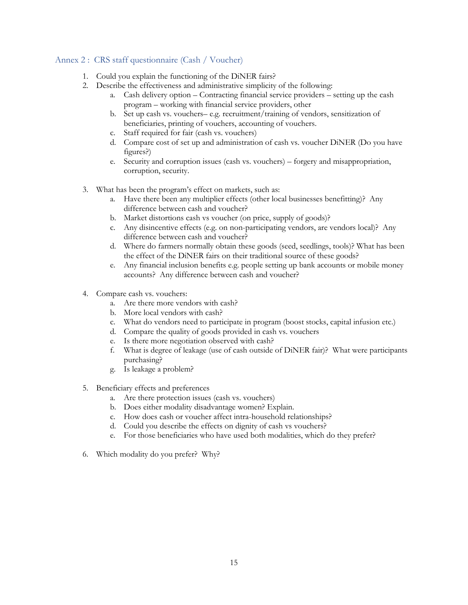### Annex 2 : CRS staff questionnaire (Cash / Voucher)

- 1. Could you explain the functioning of the DiNER fairs?
- 2. Describe the effectiveness and administrative simplicity of the following:
	- a. Cash delivery option Contracting financial service providers setting up the cash program – working with financial service providers, other
	- b. Set up cash vs. vouchers– e.g. recruitment/training of vendors, sensitization of beneficiaries, printing of vouchers, accounting of vouchers.
	- c. Staff required for fair (cash vs. vouchers)
	- d. Compare cost of set up and administration of cash vs. voucher DiNER (Do you have figures?)
	- e. Security and corruption issues (cash vs. vouchers) forgery and misappropriation, corruption, security.
- 3. What has been the program's effect on markets, such as:
	- a. Have there been any multiplier effects (other local businesses benefitting)? Any difference between cash and voucher?
	- b. Market distortions cash vs voucher (on price, supply of goods)?
	- c. Any disincentive effects (e.g. on non-participating vendors, are vendors local)? Any difference between cash and voucher?
	- d. Where do farmers normally obtain these goods (seed, seedlings, tools)? What has been the effect of the DiNER fairs on their traditional source of these goods?
	- e. Any financial inclusion benefits e.g. people setting up bank accounts or mobile money accounts? Any difference between cash and voucher?
- 4. Compare cash vs. vouchers:
	- a. Are there more vendors with cash?
	- b. More local vendors with cash?
	- c. What do vendors need to participate in program (boost stocks, capital infusion etc.)
	- d. Compare the quality of goods provided in cash vs. vouchers
	- e. Is there more negotiation observed with cash?
	- f. What is degree of leakage (use of cash outside of DiNER fair)? What were participants purchasing?
	- g. Is leakage a problem?
- 5. Beneficiary effects and preferences
	- a. Are there protection issues (cash vs. vouchers)
	- b. Does either modality disadvantage women? Explain.
	- c. How does cash or voucher affect intra-household relationships?
	- d. Could you describe the effects on dignity of cash vs vouchers?
	- e. For those beneficiaries who have used both modalities, which do they prefer?
- 6. Which modality do you prefer? Why?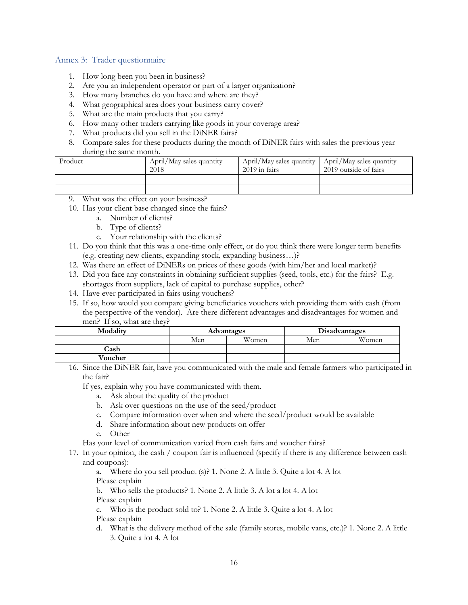#### Annex 3: Trader questionnaire

- 1. How long been you been in business?
- 2. Are you an independent operator or part of a larger organization?
- 3. How many branches do you have and where are they?
- 4. What geographical area does your business carry cover?
- 5. What are the main products that you carry?
- 6. How many other traders carrying like goods in your coverage area?
- 7. What products did you sell in the DiNER fairs?
- 8. Compare sales for these products during the month of DiNER fairs with sales the previous year during the same month.

| Product | April/May sales quantity<br>2018 | $2019$ in fairs | April/May sales quantity   April/May sales quantity<br>2019 outside of fairs |
|---------|----------------------------------|-----------------|------------------------------------------------------------------------------|
|         |                                  |                 |                                                                              |
|         |                                  |                 |                                                                              |

- What was the effect on your business?
- 10. Has your client base changed since the fairs?
	- a. Number of clients?
	- b. Type of clients?
	- c. Your relationship with the clients?
- 11. Do you think that this was a one-time only effect, or do you think there were longer term benefits (e.g. creating new clients, expanding stock, expanding business…)?
- 12. Was there an effect of DiNERs on prices of these goods (with him/her and local market)?
- 13. Did you face any constraints in obtaining sufficient supplies (seed, tools, etc.) for the fairs? E.g. shortages from suppliers, lack of capital to purchase supplies, other?
- 14. Have ever participated in fairs using vouchers?
- 15. If so, how would you compare giving beneficiaries vouchers with providing them with cash (from the perspective of the vendor). Are there different advantages and disadvantages for women and men? If so, what are they?

| Modality | Advantages |       |     | Disadvantages |
|----------|------------|-------|-----|---------------|
|          | Men        | Women | Men | Women         |
| Cash     |            |       |     |               |
| Voucher  |            |       |     |               |

16. Since the DiNER fair, have you communicated with the male and female farmers who participated in the fair?

If yes, explain why you have communicated with them.

- a. Ask about the quality of the product
- b. Ask over questions on the use of the seed/product
- c. Compare information over when and where the seed/product would be available
- d. Share information about new products on offer
- e. Other

Has your level of communication varied from cash fairs and voucher fairs?

17. In your opinion, the cash / coupon fair is influenced (specify if there is any difference between cash and coupons):

a. Where do you sell product (s)? 1. None 2. A little 3. Quite a lot 4. A lot

Please explain

b. Who sells the products? 1. None 2. A little 3. A lot a lot 4. A lot

Please explain

c. Who is the product sold to? 1. None 2. A little 3. Quite a lot 4. A lot

Please explain

d. What is the delivery method of the sale (family stores, mobile vans, etc.)? 1. None 2. A little 3. Quite a lot 4. A lot